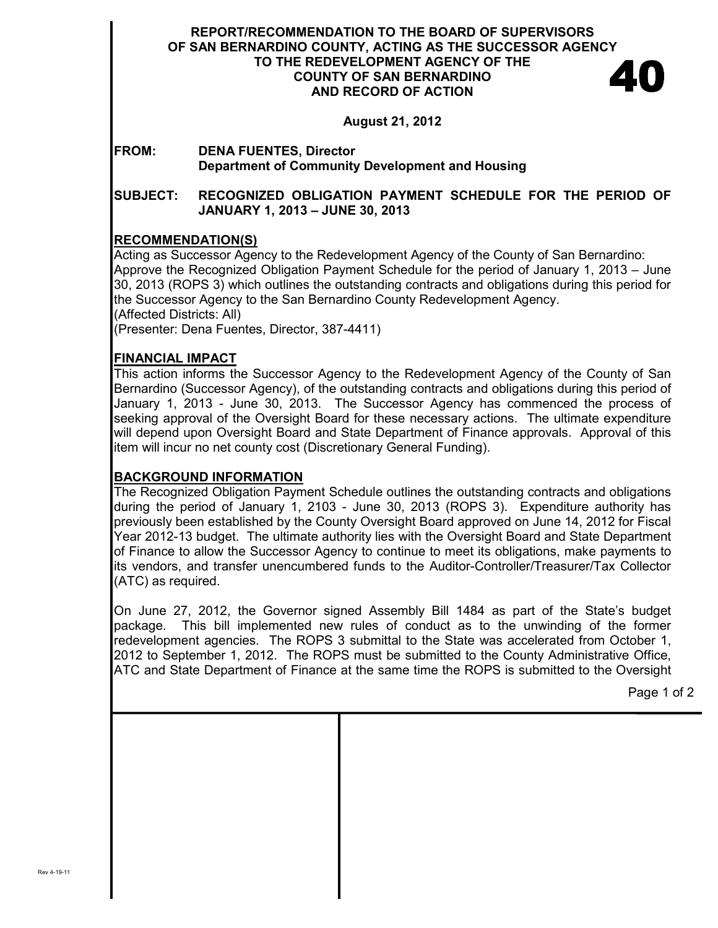#### **REPORT/RECOMMENDATION TO THE BOARD OF SUPERVISORS OF SAN BERNARDINO COUNTY, ACTING AS THE SUCCESSOR AGENCY TO THE REDEVELOPMENT AGENCY OF THE COUNTY OF SAN BERNARDINO AND RECORD OF ACTION**  40

**August 21, 2012** 

# **FROM: DENA FUENTES, Director Department of Community Development and Housing**

## **SUBJECT: RECOGNIZED OBLIGATION PAYMENT SCHEDULE FOR THE PERIOD OF JANUARY 1, 2013 – JUNE 30, 2013**

# **RECOMMENDATION(S)**

Acting as Successor Agency to the Redevelopment Agency of the County of San Bernardino: Approve the Recognized Obligation Payment Schedule for the period of January 1, 2013 – June 30, 2013 (ROPS 3) which outlines the outstanding contracts and obligations during this period for the Successor Agency to the San Bernardino County Redevelopment Agency. (Affected Districts: All) (Presenter: Dena Fuentes, Director, 387-4411)

# **FINANCIAL IMPACT**

This action informs the Successor Agency to the Redevelopment Agency of the County of San Bernardino (Successor Agency), of the outstanding contracts and obligations during this period of January 1, 2013 - June 30, 2013. The Successor Agency has commenced the process of seeking approval of the Oversight Board for these necessary actions. The ultimate expenditure will depend upon Oversight Board and State Department of Finance approvals. Approval of this item will incur no net county cost (Discretionary General Funding).

# **BACKGROUND INFORMATION**

The Recognized Obligation Payment Schedule outlines the outstanding contracts and obligations during the period of January 1, 2103 - June 30, 2013 (ROPS 3). Expenditure authority has previously been established by the County Oversight Board approved on June 14, 2012 for Fiscal Year 2012-13 budget. The ultimate authority lies with the Oversight Board and State Department of Finance to allow the Successor Agency to continue to meet its obligations, make payments to its vendors, and transfer unencumbered funds to the Auditor-Controller/Treasurer/Tax Collector (ATC) as required.

On June 27, 2012, the Governor signed Assembly Bill 1484 as part of the State's budget package. This bill implemented new rules of conduct as to the unwinding of the former redevelopment agencies. The ROPS 3 submittal to the State was accelerated from October 1, 2012 to September 1, 2012. The ROPS must be submitted to the County Administrative Office, ATC and State Department of Finance at the same time the ROPS is submitted to the Oversight

Page 1 of 2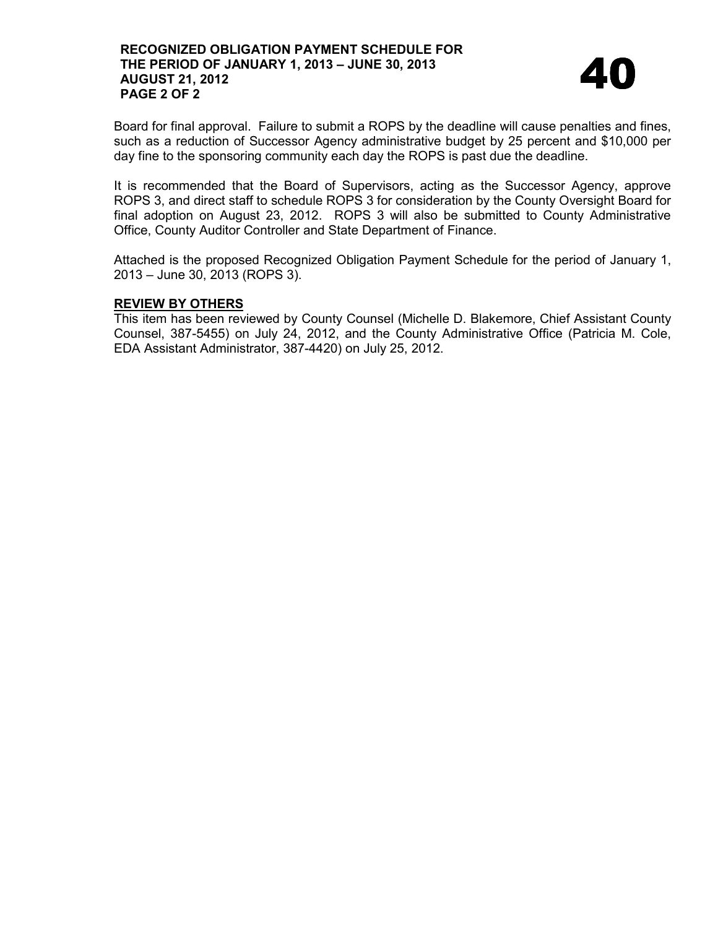

Board for final approval. Failure to submit a ROPS by the deadline will cause penalties and fines, such as a reduction of Successor Agency administrative budget by 25 percent and \$10,000 per day fine to the sponsoring community each day the ROPS is past due the deadline.

It is recommended that the Board of Supervisors, acting as the Successor Agency, approve ROPS 3, and direct staff to schedule ROPS 3 for consideration by the County Oversight Board for final adoption on August 23, 2012. ROPS 3 will also be submitted to County Administrative Office, County Auditor Controller and State Department of Finance.

Attached is the proposed Recognized Obligation Payment Schedule for the period of January 1, 2013 – June 30, 2013 (ROPS 3).

## **REVIEW BY OTHERS**

This item has been reviewed by County Counsel (Michelle D. Blakemore, Chief Assistant County Counsel, 387-5455) on July 24, 2012, and the County Administrative Office (Patricia M. Cole, EDA Assistant Administrator, 387-4420) on July 25, 2012.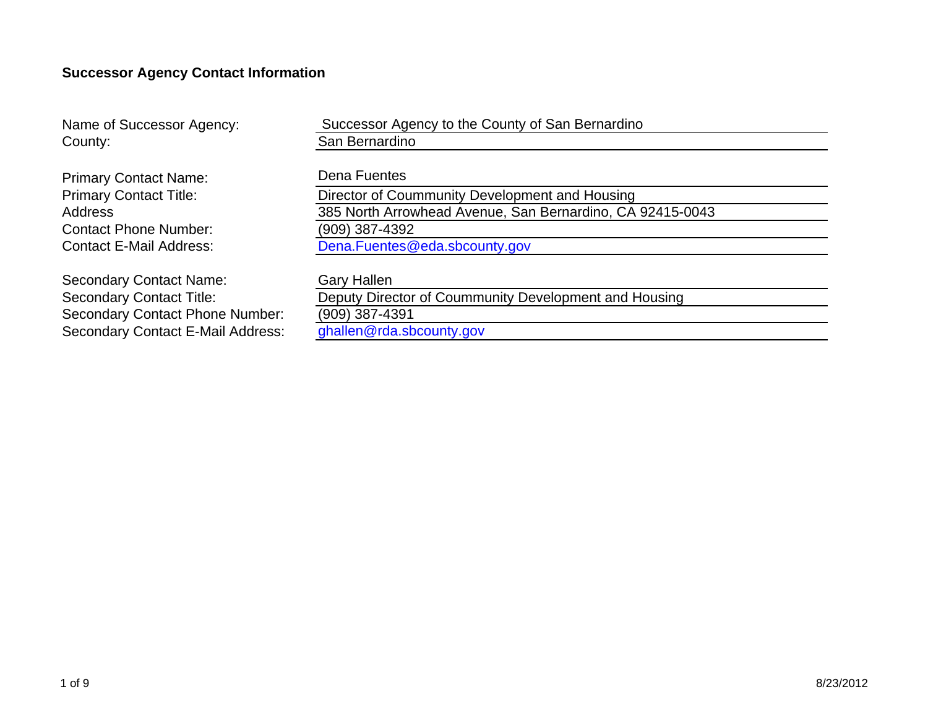# **Successor Agency Contact Information**

| Name of Successor Agency:                                            | Successor Agency to the County of San Bernardino      |  |  |  |  |  |  |  |
|----------------------------------------------------------------------|-------------------------------------------------------|--|--|--|--|--|--|--|
| County:                                                              | San Bernardino                                        |  |  |  |  |  |  |  |
|                                                                      |                                                       |  |  |  |  |  |  |  |
| <b>Primary Contact Name:</b>                                         | Dena Fuentes                                          |  |  |  |  |  |  |  |
| <b>Primary Contact Title:</b>                                        | Director of Coummunity Development and Housing        |  |  |  |  |  |  |  |
| 385 North Arrowhead Avenue, San Bernardino, CA 92415-0043<br>Address |                                                       |  |  |  |  |  |  |  |
| (909) 387-4392<br><b>Contact Phone Number:</b>                       |                                                       |  |  |  |  |  |  |  |
| <b>Contact E-Mail Address:</b>                                       | Dena.Fuentes@eda.sbcounty.gov                         |  |  |  |  |  |  |  |
|                                                                      |                                                       |  |  |  |  |  |  |  |
| <b>Secondary Contact Name:</b>                                       | <b>Gary Hallen</b>                                    |  |  |  |  |  |  |  |
| <b>Secondary Contact Title:</b>                                      | Deputy Director of Coummunity Development and Housing |  |  |  |  |  |  |  |
| <b>Secondary Contact Phone Number:</b>                               | $(909)$ 387-4391                                      |  |  |  |  |  |  |  |
| <b>Secondary Contact E-Mail Address:</b>                             | ghallen@rda.sbcounty.gov                              |  |  |  |  |  |  |  |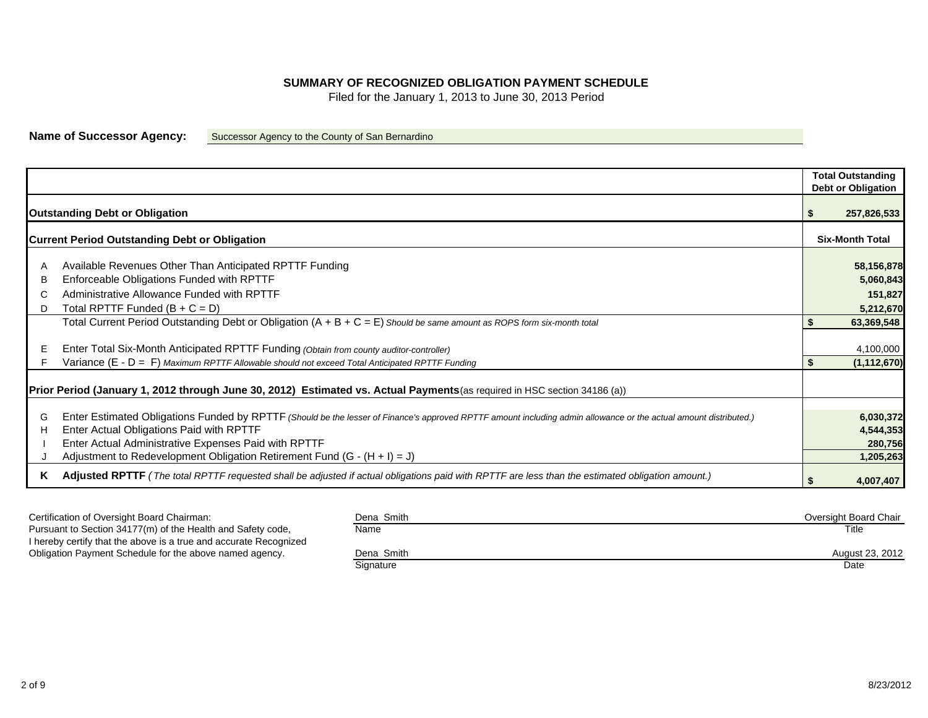#### **SUMMARY OF RECOGNIZED OBLIGATION PAYMENT SCHEDULE**

Filed for the January 1, 2013 to June 30, 2013 Period

**Name of Successor Agency:** Successor Agency to the County of San Bernardino

| <b>Outstanding Debt or Obligation</b><br><b>Current Period Outstanding Debt or Obligation</b><br>Available Revenues Other Than Anticipated RPTTF Funding               | <b>Total Outstanding</b><br>Debt or Obligation<br><b>Six-Month Total</b> |
|------------------------------------------------------------------------------------------------------------------------------------------------------------------------|--------------------------------------------------------------------------|
|                                                                                                                                                                        | 257,826,533<br>58,156,878                                                |
|                                                                                                                                                                        |                                                                          |
|                                                                                                                                                                        |                                                                          |
|                                                                                                                                                                        |                                                                          |
|                                                                                                                                                                        |                                                                          |
|                                                                                                                                                                        |                                                                          |
|                                                                                                                                                                        |                                                                          |
|                                                                                                                                                                        |                                                                          |
| Enforceable Obligations Funded with RPTTF<br>В                                                                                                                         | 5,060,843                                                                |
| Administrative Allowance Funded with RPTTF                                                                                                                             | 151,827                                                                  |
| Total RPTTF Funded $(B + C = D)$<br>D                                                                                                                                  | 5,212,670                                                                |
| Total Current Period Outstanding Debt or Obligation $(A + B + C = E)$ Should be same amount as ROPS form six-month total                                               | 63,369,548                                                               |
|                                                                                                                                                                        |                                                                          |
| Enter Total Six-Month Anticipated RPTTF Funding (Obtain from county auditor-controller)                                                                                | 4,100,000                                                                |
| Variance (E - D = F) Maximum RPTTF Allowable should not exceed Total Anticipated RPTTF Funding                                                                         | (1, 112, 670)                                                            |
|                                                                                                                                                                        |                                                                          |
| Prior Period (January 1, 2012 through June 30, 2012) Estimated vs. Actual Payments (as required in HSC section 34186 (a))                                              |                                                                          |
|                                                                                                                                                                        |                                                                          |
| Enter Estimated Obligations Funded by RPTTF (Should be the lesser of Finance's approved RPTTF amount including admin allowance or the actual amount distributed.)<br>G | 6,030,372                                                                |
| Enter Actual Obligations Paid with RPTTF<br>Н                                                                                                                          | 4,544,353                                                                |
| Enter Actual Administrative Expenses Paid with RPTTF                                                                                                                   | 280,756                                                                  |
| Adjustment to Redevelopment Obligation Retirement Fund $(G - (H + I) = J)$                                                                                             | 1,205,263                                                                |
| Adjusted RPTTF (The total RPTTF requested shall be adjusted if actual obligations paid with RPTTF are less than the estimated obligation amount.)<br>Κ                 |                                                                          |
|                                                                                                                                                                        | 4,007,407                                                                |

| Certification of Oversight Board Chairman:                        | Dena Smith | Oversight Board Chair |
|-------------------------------------------------------------------|------------|-----------------------|
| Pursuant to Section 34177(m) of the Health and Safety code,       | Name       | Title                 |
| I hereby certify that the above is a true and accurate Recognized |            |                       |
| Obligation Payment Schedule for the above named agency.           | Dena Smith | August 23, 2012       |
|                                                                   | Signature  | Date                  |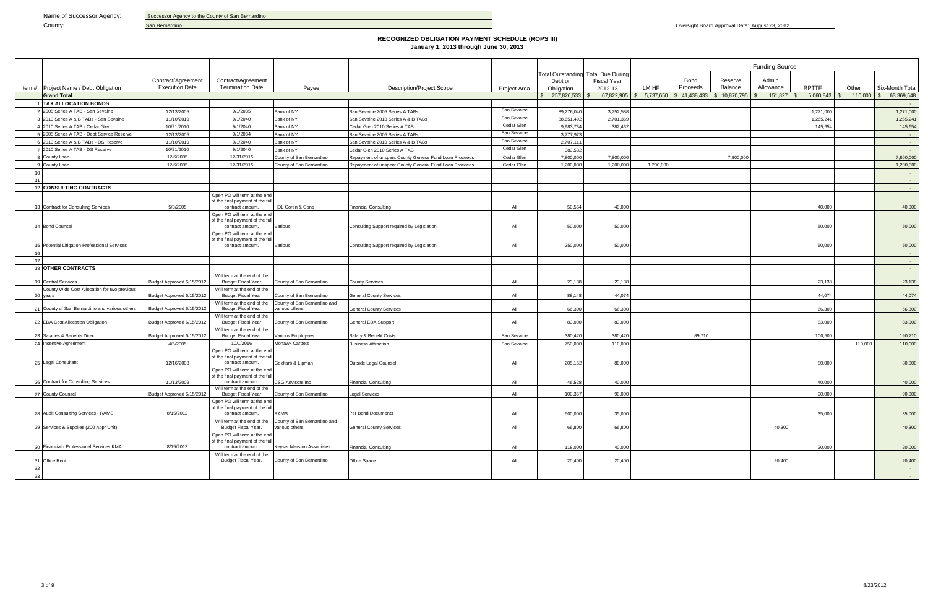|    |                                                         |                                             |                                                                  |                                                |                                                        |                            |                             |                                           | <b>Funding Source</b> |                            |                    |                    |                |         |                            |  |
|----|---------------------------------------------------------|---------------------------------------------|------------------------------------------------------------------|------------------------------------------------|--------------------------------------------------------|----------------------------|-----------------------------|-------------------------------------------|-----------------------|----------------------------|--------------------|--------------------|----------------|---------|----------------------------|--|
|    |                                                         |                                             |                                                                  |                                                |                                                        |                            |                             | <b>Total Outstanding Total Due During</b> |                       |                            |                    |                    |                |         |                            |  |
|    | Item # Project Name / Debt Obligation                   | Contract/Agreement<br><b>Execution Date</b> | Contract/Agreement<br><b>Termination Date</b>                    | Payee                                          | <b>Description/Project Scope</b>                       |                            | Debt or                     | <b>Fiscal Year</b>                        | <b>LMIHF</b>          | Bond<br>Proceeds           | Reserve<br>Balance | Admin<br>Allowance | <b>RPTTF</b>   | Other   | Six-Month Total            |  |
|    | <b>Grand Total</b>                                      |                                             |                                                                  |                                                |                                                        | <b>Project Area</b>        | Obligation<br>\$257,826,533 | 2012-13<br>67,822,905                     |                       | $$5,737,650$ $$41,438,433$ | \$10,870,795       | 151,827            | $5,060,843$ \$ | 110,000 | 63,369,548<br>$\mathbb{S}$ |  |
|    | 1 TAX ALLOCATION BONDS                                  |                                             |                                                                  |                                                |                                                        |                            |                             |                                           |                       |                            |                    |                    |                |         | $\sim 10^{-1}$             |  |
|    | 2 2005 Series A TAB - San Sevaine                       | 12/13/2005                                  | 9/1/2035                                                         | Bank of NY                                     | San Sevaine 2005 Series A TABs                         | San Sevaine                | 89,276,040                  | 3,752,588                                 |                       |                            |                    |                    | 1,271,000      |         | 1,271,000                  |  |
|    | 3 2010 Series A & B TABs - San Sevaine                  | 11/10/2010                                  | 9/1/2040                                                         | Bank of NY                                     | San Sevaine 2010 Series A & B TABs                     | San Sevaine                | 88.651.492                  | 2,701,369                                 |                       |                            |                    |                    | 1,265,241      |         | 1,265,241                  |  |
|    | 4 2010 Series A TAB - Cedar Glen                        | 10/21/2010                                  | 9/1/2040                                                         | Bank of NY                                     | Cedar Glen 2010 Series A TAB                           | Cedar Glen                 | 9,983,734                   | 382,432                                   |                       |                            |                    |                    | 145,654        |         | 145,654                    |  |
|    | 5 2005 Series A TAB - Debt Service Reserve              | 12/13/2005                                  | 9/1/2034                                                         | Bank of NY                                     | San Sevaine 2005 Series A TABs                         | San Sevaine                | 3,777,973                   |                                           |                       |                            |                    |                    |                |         | $\sim 100$                 |  |
|    | 6 2010 Series A & B TABs - DS Reserve                   | 11/10/2010                                  | 9/1/2040                                                         | Bank of NY                                     | San Sevaine 2010 Series A & B TABs                     | San Sevaine                | 2,707,111                   |                                           |                       |                            |                    |                    |                |         | $\sim 10^{-10}$            |  |
|    | 7 2010 Series A TAB - DS Reserve                        | 10/21/2010                                  | 9/1/2040                                                         | Bank of NY                                     | Cedar Glen 2010 Series A TAB                           | Cedar Glen                 | 383,532                     |                                           |                       |                            |                    |                    |                |         | $\sim 10^{-1}$             |  |
|    | 8 County Loan                                           | 12/6/2005                                   | 12/31/2015                                                       | County of San Bernardino                       | Repayment of unspent County General Fund Loan Proceeds | Cedar Glen                 | 7,800,000                   | 7,800,000                                 |                       |                            | 7.800.000          |                    |                |         | 7,800,000                  |  |
|    | 9 County Loan                                           | 12/6/2005                                   | 12/31/2015                                                       | County of San Bernardino                       | Repayment of unspent County General Fund Loan Proceeds | Cedar Glen                 | 1,200,000                   | 1,200,000                                 | 1,200,000             |                            |                    |                    |                |         | 1,200,000                  |  |
| 10 |                                                         |                                             |                                                                  |                                                |                                                        |                            |                             |                                           |                       |                            |                    |                    |                |         | $\sim$ $-$                 |  |
| 11 |                                                         |                                             |                                                                  |                                                |                                                        |                            |                             |                                           |                       |                            |                    |                    |                |         | $\sim 100$                 |  |
|    | 12 CONSULTING CONTRACTS                                 |                                             |                                                                  |                                                |                                                        |                            |                             |                                           |                       |                            |                    |                    |                |         | <b>Contract Contract</b>   |  |
|    |                                                         |                                             | Open PO will term at the end                                     |                                                |                                                        |                            |                             |                                           |                       |                            |                    |                    |                |         |                            |  |
|    |                                                         |                                             | of the final payment of the full                                 |                                                |                                                        |                            |                             |                                           |                       |                            |                    |                    |                |         |                            |  |
|    | 13 Contract for Consulting Services                     | 5/3/2005                                    | contract amount.                                                 | HDL Coren & Cone                               | <b>Financial Consulting</b>                            | All                        | 50,554                      | 40,000                                    |                       |                            |                    |                    | 40,000         |         | 40,000                     |  |
|    |                                                         |                                             | Open PO will term at the end<br>of the final payment of the full |                                                |                                                        |                            |                             |                                           |                       |                            |                    |                    |                |         |                            |  |
|    | 14 Bond Counsel                                         |                                             | contract amount.                                                 | Various                                        | Consulting Support required by Legislation             | All                        | 50.000                      | 50.000                                    |                       |                            |                    |                    | 50.000         |         | 50,000                     |  |
|    |                                                         |                                             | Open PO will term at the end                                     |                                                |                                                        |                            |                             |                                           |                       |                            |                    |                    |                |         |                            |  |
|    |                                                         |                                             | of the final payment of the full                                 |                                                |                                                        |                            |                             |                                           |                       |                            |                    |                    |                |         |                            |  |
|    | 15 Potential Litigation Professional Services           |                                             | contract amount.                                                 | Various                                        | Consulting Support required by Legislation             | All                        | 250,000                     | 50,000                                    |                       |                            |                    |                    | 50,000         |         | 50,000                     |  |
| 16 |                                                         |                                             |                                                                  |                                                |                                                        |                            |                             |                                           |                       |                            |                    |                    |                |         | $\sim 100$                 |  |
| 17 |                                                         |                                             |                                                                  |                                                |                                                        |                            |                             |                                           |                       |                            |                    |                    |                |         | $\sim 100$ km s $^{-1}$    |  |
|    | 18 OTHER CONTRACTS                                      |                                             |                                                                  |                                                |                                                        |                            |                             |                                           |                       |                            |                    |                    |                |         | $\sim$ $-$                 |  |
|    | 19 Central Services                                     | Budget Approved 6/15/2012                   | Will term at the end of the<br><b>Budget Fiscal Year</b>         | County of San Bernardino                       | <b>County Services</b>                                 | All                        | 23,138                      | 23,138                                    |                       |                            |                    |                    | 23,138         |         | 23,138                     |  |
|    | County Wide Cost Allocation for two previous            |                                             | Will term at the end of the                                      |                                                |                                                        |                            |                             |                                           |                       |                            |                    |                    |                |         |                            |  |
|    | 20 years                                                | Budget Approved 6/15/2012                   | <b>Budget Fiscal Year</b>                                        | County of San Bernardino                       | <b>General County Services</b>                         | All                        | 88,148                      | 44,074                                    |                       |                            |                    |                    | 44,074         |         | 44,074                     |  |
|    |                                                         |                                             | Will term at the end of the                                      | County of San Bernardino and                   |                                                        |                            |                             |                                           |                       |                            |                    |                    |                |         |                            |  |
|    | 21 County of San Bernardino and various others          | Budget Approved 6/15/2012                   | <b>Budget Fiscal Year</b>                                        | various others                                 | <b>General County Services</b>                         | All                        | 66,300                      | 66,300                                    |                       |                            |                    |                    | 66,300         |         | 66,300                     |  |
|    |                                                         |                                             | Will term at the end of the                                      |                                                |                                                        |                            |                             |                                           |                       |                            |                    |                    |                |         |                            |  |
|    | 22 EDA Cost Allocation Obligation                       | Budget Approved 6/15/2012                   | <b>Budget Fiscal Year</b>                                        | County of San Bernardino                       | General EDA Support                                    | All                        | 83,000                      | 83,000                                    |                       |                            |                    |                    | 83,000         |         | 83,000                     |  |
|    |                                                         |                                             | Will term at the end of the                                      |                                                |                                                        |                            |                             |                                           |                       |                            |                    |                    |                |         |                            |  |
|    | 23 Salaries & Benefits Direct<br>24 Incentive Agreement | Budget Approved 6/15/2012<br>4/5/2005       | <b>Budget Fiscal Year</b><br>10/1/2016                           | Various Employees<br><b>Mohawk Carpets</b>     | Salary & Benefit Costs<br><b>Business Attraction</b>   | San Sevaine<br>San Sevaine | 380,420<br>750,000          | 380,420<br>110,000                        |                       | 89,710                     |                    |                    | 100,500        | 110,000 | 190,210                    |  |
|    |                                                         |                                             | Open PO will term at the end                                     |                                                |                                                        |                            |                             |                                           |                       |                            |                    |                    |                |         | 110,000                    |  |
|    |                                                         |                                             | of the final payment of the full                                 |                                                |                                                        |                            |                             |                                           |                       |                            |                    |                    |                |         |                            |  |
|    | 25 Legal Consultant                                     | 12/16/2008                                  | contract amount.                                                 | Goldfarb & Lipman                              | <b>Outside Legal Counsel</b>                           | All                        | 205,152                     | 80,000                                    |                       |                            |                    |                    | 80,000         |         | 80,000                     |  |
|    |                                                         |                                             | Open PO will term at the end                                     |                                                |                                                        |                            |                             |                                           |                       |                            |                    |                    |                |         |                            |  |
|    | 26 Contract for Consulting Services                     | 11/13/2009                                  | of the final payment of the full<br>contract amount.             | CSG Advisors Inc                               | <b>Financial Consulting</b>                            | All                        | 46,528                      | 40,000                                    |                       |                            |                    |                    | 40,000         |         | 40,000                     |  |
|    |                                                         |                                             | Will term at the end of the                                      |                                                |                                                        |                            |                             |                                           |                       |                            |                    |                    |                |         |                            |  |
|    | 27 County Counsel                                       | Budget Approved 6/15/2012                   | <b>Budget Fiscal Year</b>                                        | County of San Bernardino                       | egal Services                                          | All                        | 100,357                     | 90,000                                    |                       |                            |                    |                    | 90,000         |         | 90,000                     |  |
|    |                                                         |                                             | Open PO will term at the end                                     |                                                |                                                        |                            |                             |                                           |                       |                            |                    |                    |                |         |                            |  |
|    | 28 Audit Consulting Services - RAMS                     |                                             | of the final payment of the full                                 |                                                |                                                        |                            |                             |                                           |                       |                            |                    |                    |                |         |                            |  |
|    |                                                         | 8/15/2012                                   | contract amount.                                                 | <b>RAMS</b>                                    | Per Bond Documents                                     | All                        | 600,000                     | 35,000                                    |                       |                            |                    |                    | 35,000         |         | 35,000                     |  |
|    | 29 Services & Supplies (200 Appr Unit)                  |                                             | Will term at the end of the<br>Budget Fiscal Year.               | County of San Bernardino and<br>various others | <b>General County Services</b>                         | All                        | 66,800                      | 66,800                                    |                       |                            |                    | 40,300             |                |         | 40,300                     |  |
|    |                                                         |                                             | Open PO will term at the end                                     |                                                |                                                        |                            |                             |                                           |                       |                            |                    |                    |                |         |                            |  |
|    |                                                         |                                             | of the final payment of the full                                 |                                                |                                                        |                            |                             |                                           |                       |                            |                    |                    |                |         |                            |  |
|    | 30 Financial - Professional Services KMA                | 8/15/2012                                   | contract amount.                                                 | Keyser Marston Associates                      | <b>Financial Consulting</b>                            | All                        | 118,000                     | 40,000                                    |                       |                            |                    |                    | 20,000         |         | 20,000                     |  |
|    |                                                         |                                             | Will term at the end of the                                      |                                                |                                                        |                            |                             |                                           |                       |                            |                    |                    |                |         |                            |  |
|    | 31 Office Rent                                          |                                             | Budget Fiscal Year.                                              | County of San Bernardino                       | Office Space                                           | All                        | 20,400                      | 20,400                                    |                       |                            |                    | 20,400             |                |         | 20,400                     |  |
| 32 |                                                         |                                             |                                                                  |                                                |                                                        |                            |                             |                                           |                       |                            |                    |                    |                |         | <b>Contract</b>            |  |
| 33 |                                                         |                                             |                                                                  |                                                |                                                        |                            |                             |                                           |                       |                            |                    |                    |                |         | <b>Contract</b>            |  |

#### **RECOGNIZED OBLIGATION PAYMENT SCHEDULE (ROPS III) January 1, 2013 through June 30, 2013**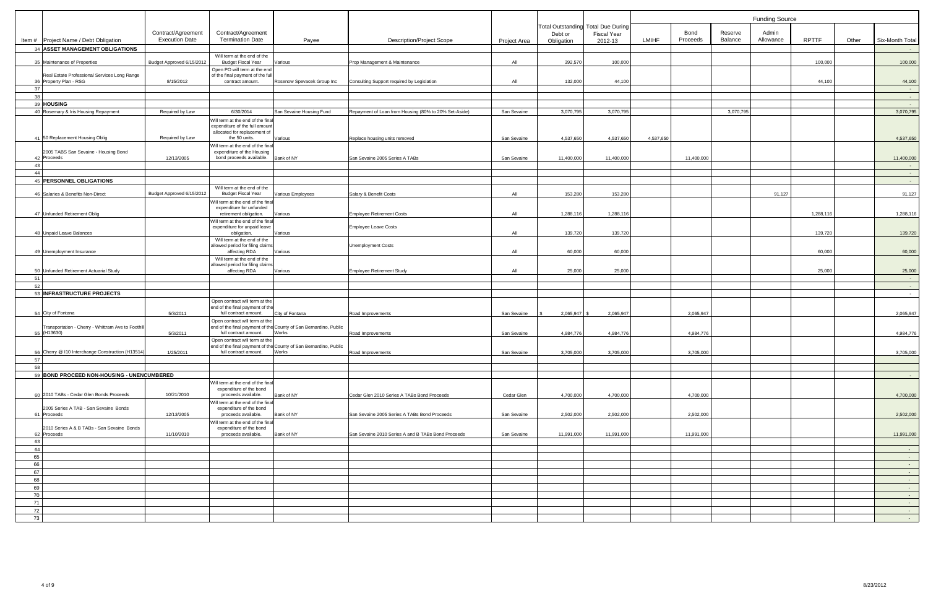|             |                                                                          |                                             |                                                                                             |                                                                                    |                                                       |              |              |                                                                 |           | <b>Funding Source</b> |                    |                    |              |       |                                              |
|-------------|--------------------------------------------------------------------------|---------------------------------------------|---------------------------------------------------------------------------------------------|------------------------------------------------------------------------------------|-------------------------------------------------------|--------------|--------------|-----------------------------------------------------------------|-----------|-----------------------|--------------------|--------------------|--------------|-------|----------------------------------------------|
|             |                                                                          | Contract/Agreement<br><b>Execution Date</b> | Contract/Agreement<br><b>Termination Date</b>                                               |                                                                                    |                                                       |              | Debt or      | <b>Total Outstanding Total Due During</b><br><b>Fiscal Year</b> | LMIHF     | Bond<br>Proceeds      | Reserve<br>Balance | Admin<br>Allowance | <b>RPTTF</b> |       | Six-Month Total                              |
|             | Item # Project Name / Debt Obligation<br>34 ASSET MANAGEMENT OBLIGATIONS |                                             |                                                                                             | Payee                                                                              | <b>Description/Project Scope</b>                      | Project Area | Obligation   | 2012-13                                                         |           |                       |                    |                    |              | Other | $\sim 100$                                   |
|             | 35 Maintenance of Properties                                             | Budget Approved 6/15/2012                   | Will term at the end of the<br><b>Budget Fiscal Year</b>                                    | Various                                                                            | Prop Management & Maintenance                         | All          | 392,570      | 100,000                                                         |           |                       |                    |                    | 100,000      |       | 100,000                                      |
|             |                                                                          |                                             | Open PO will term at the end                                                                |                                                                                    |                                                       |              |              |                                                                 |           |                       |                    |                    |              |       |                                              |
| 36          | Real Estate Professional Services Long Range<br>Property Plan - RSG      | 8/15/2012                                   | of the final payment of the full<br>contract amount.                                        | Rosenow Spevacek Group Inc                                                         | Consulting Support required by Legislation            | All          | 132,000      | 44,100                                                          |           |                       |                    |                    | 44,100       |       | 44,100                                       |
| 37          |                                                                          |                                             |                                                                                             |                                                                                    |                                                       |              |              |                                                                 |           |                       |                    |                    |              |       | $\sim$ $-$                                   |
| 38          | 39 HOUSING                                                               |                                             |                                                                                             |                                                                                    |                                                       |              |              |                                                                 |           |                       |                    |                    |              |       | $\sim$ $-$<br>$\sim$ $-$                     |
|             | 40 Rosemary & Iris Housing Repayment                                     | Required by Law                             | 6/30/2014                                                                                   | San Sevaine Housing Fund                                                           | Repayment of Loan from Housing (80% to 20% Set-Aside) | San Sevaine  | 3,070,795    | 3,070,795                                                       |           |                       | 3,070,795          |                    |              |       | 3,070,795                                    |
|             |                                                                          |                                             | Will term at the end of the final                                                           |                                                                                    |                                                       |              |              |                                                                 |           |                       |                    |                    |              |       |                                              |
|             | 41 50 Replacement Housing Oblig                                          | Required by Law                             | expenditure of the full amount<br>allocated for replacement of<br>the 50 units.             | Various                                                                            | Replace housing units removed                         | San Sevaine  | 4,537,650    | 4,537,650                                                       | 4,537,650 |                       |                    |                    |              |       | 4,537,650                                    |
| 42 Proceeds | 2005 TABS San Sevaine - Housing Bond                                     | 12/13/2005                                  | Will term at the end of the final<br>expenditure of the Housing<br>bond proceeds available. | Bank of NY                                                                         | San Sevaine 2005 Series A TABs                        | San Sevaine  | 11,400,000   | 11,400,000                                                      |           | 11,400,000            |                    |                    |              |       | 11,400,000                                   |
| 43          |                                                                          |                                             |                                                                                             |                                                                                    |                                                       |              |              |                                                                 |           |                       |                    |                    |              |       | $\sim 100$                                   |
| 44          |                                                                          |                                             |                                                                                             |                                                                                    |                                                       |              |              |                                                                 |           |                       |                    |                    |              |       | $\sim$ $ \sim$                               |
|             | 45 PERSONNEL OBLIGATIONS                                                 |                                             |                                                                                             |                                                                                    |                                                       |              |              |                                                                 |           |                       |                    |                    |              |       | $\sim$ $ \sim$                               |
|             | 46 Salaries & Benefits Non-Direct                                        | Budget Approved 6/15/2012                   | Will term at the end of the<br><b>Budget Fiscal Year</b>                                    | Various Employees                                                                  | Salary & Benefit Costs                                | All          | 153,280      | 153,280                                                         |           |                       |                    | 91,127             |              |       | 91,127                                       |
|             |                                                                          |                                             | Vill term at the end of the final<br>expenditure for unfunded                               |                                                                                    |                                                       |              |              |                                                                 |           |                       |                    |                    |              |       |                                              |
|             | 47 Unfunded Retirement Oblig                                             |                                             | retirement obilgation.                                                                      | Various                                                                            | <b>Employee Retirement Costs</b>                      | All          | 1,288,116    | 1,288,116                                                       |           |                       |                    |                    | 1,288,116    |       | 1,288,116                                    |
|             |                                                                          |                                             | Will term at the end of the final                                                           |                                                                                    |                                                       |              |              |                                                                 |           |                       |                    |                    |              |       |                                              |
|             | 48 Unpaid Leave Balances                                                 |                                             | expenditure for unpaid leave<br>obilgation.                                                 | Various                                                                            | Employee Leave Costs                                  | All          | 139,720      | 139,720                                                         |           |                       |                    |                    | 139,720      |       | 139,720                                      |
|             |                                                                          |                                             | Will term at the end of the                                                                 |                                                                                    |                                                       |              |              |                                                                 |           |                       |                    |                    |              |       |                                              |
|             | 49 Unemployment Insurance                                                |                                             | allowed period for filing claims<br>affecting RDA                                           | Various                                                                            | <b>Unemployment Costs</b>                             | All          | 60,000       | 60,000                                                          |           |                       |                    |                    | 60.000       |       | 60,000                                       |
|             |                                                                          |                                             | Will term at the end of the                                                                 |                                                                                    |                                                       |              |              |                                                                 |           |                       |                    |                    |              |       |                                              |
|             | 50 Unfunded Retirement Actuarial Study                                   |                                             | allowed period for filing claims<br>affecting RDA                                           | Various                                                                            | <b>Employee Retirement Study</b>                      | All          | 25,000       | 25,000                                                          |           |                       |                    |                    | 25,000       |       | 25,000                                       |
| 51          |                                                                          |                                             |                                                                                             |                                                                                    |                                                       |              |              |                                                                 |           |                       |                    |                    |              |       | $\sim$ $-$                                   |
| 52          |                                                                          |                                             |                                                                                             |                                                                                    |                                                       |              |              |                                                                 |           |                       |                    |                    |              |       | $\sim$ $-$                                   |
|             | 53 INFRASTRUCTURE PROJECTS                                               |                                             |                                                                                             |                                                                                    |                                                       |              |              |                                                                 |           |                       |                    |                    |              |       | $\sim$ $ \sim$                               |
|             |                                                                          |                                             | Open contract will term at the<br>end of the final payment of the                           |                                                                                    |                                                       |              |              |                                                                 |           |                       |                    |                    |              |       |                                              |
|             | 54 City of Fontana                                                       | 5/3/2011                                    | full contract amount.                                                                       | City of Fontana                                                                    | Road Improvements                                     | San Sevaine  | 2,065,947 \$ | 2,065,947                                                       |           | 2,065,947             |                    |                    |              |       | 2,065,947                                    |
|             | Transportation - Cherry - Whittram Ave to Foothill                       |                                             | Open contract will term at the                                                              | end of the final payment of the County of San Bernardino, Public                   |                                                       |              |              |                                                                 |           |                       |                    |                    |              |       |                                              |
| 55 (H13630) |                                                                          | 5/3/2011                                    | full contract amount.<br>Open contract will term at the                                     | Works                                                                              | Road Improvements                                     | San Sevaine  | 4,984,776    | 4,984,776                                                       |           | 4,984,776             |                    |                    |              |       | 4,984,776                                    |
|             | 56 Cherry @ I10 Interchange Construction (H13514)                        | 1/25/2011                                   | full contract amount.                                                                       | end of the final payment of the County of San Bernardino, Public<br><b>I</b> WORKS | Road Improvements                                     | San Sevaine  | 3,705,000    | 3,705,000                                                       |           | 3,705,000             |                    |                    |              |       | 3,705,000                                    |
| 57          |                                                                          |                                             |                                                                                             |                                                                                    |                                                       |              |              |                                                                 |           |                       |                    |                    |              |       |                                              |
| 58          |                                                                          |                                             |                                                                                             |                                                                                    |                                                       |              |              |                                                                 |           |                       |                    |                    |              |       |                                              |
|             | 59 BOND PROCEED NON-HOUSING - UNENCUMBERED                               |                                             | Will term at the end of the final                                                           |                                                                                    |                                                       |              |              |                                                                 |           |                       |                    |                    |              |       | $\sim 100$                                   |
|             |                                                                          |                                             | expenditure of the bond                                                                     |                                                                                    |                                                       |              |              |                                                                 |           |                       |                    |                    |              |       |                                              |
|             | 60 2010 TABs - Cedar Glen Bonds Proceeds                                 | 10/21/2010                                  | proceeds available.                                                                         | Bank of NY                                                                         | Cedar Glen 2010 Series A TABs Bond Proceeds           | Cedar Glen   | 4,700,000    | 4,700,000                                                       |           | 4,700,000             |                    |                    |              |       | 4,700,000                                    |
|             | 2005 Series A TAB - San Sevaine Bonds<br>61 Proceeds                     | 12/13/2005                                  | Will term at the end of the final<br>expenditure of the bond<br>proceeds available.         | Bank of NY                                                                         | San Sevaine 2005 Series A TABs Bond Proceeds          | San Sevaine  | 2,502,000    | 2,502,000                                                       |           | 2,502,000             |                    |                    |              |       | 2,502,000                                    |
|             |                                                                          |                                             | Will term at the end of the final                                                           |                                                                                    |                                                       |              |              |                                                                 |           |                       |                    |                    |              |       |                                              |
| 62 Proceeds | 2010 Series A & B TABs - San Sevaine Bonds                               | 11/10/2010                                  | expenditure of the bond<br>proceeds available.                                              | Bank of NY                                                                         | San Sevaine 2010 Series A and B TABs Bond Proceeds    | San Sevaine  | 11,991,000   | 11,991,000                                                      |           | 11,991,000            |                    |                    |              |       | 11,991,000                                   |
| 63          |                                                                          |                                             |                                                                                             |                                                                                    |                                                       |              |              |                                                                 |           |                       |                    |                    |              |       |                                              |
| 64          |                                                                          |                                             |                                                                                             |                                                                                    |                                                       |              |              |                                                                 |           |                       |                    |                    |              |       | $\sim 10^{-1}$                               |
| 65          |                                                                          |                                             |                                                                                             |                                                                                    |                                                       |              |              |                                                                 |           |                       |                    |                    |              |       | $\sim 10^{-11}$                              |
| 66<br>67    |                                                                          |                                             |                                                                                             |                                                                                    |                                                       |              |              |                                                                 |           |                       |                    |                    |              |       | $\sim 10$<br>$\sim 10$                       |
| 68          |                                                                          |                                             |                                                                                             |                                                                                    |                                                       |              |              |                                                                 |           |                       |                    |                    |              |       | $\sim$ $-$                                   |
| 69          |                                                                          |                                             |                                                                                             |                                                                                    |                                                       |              |              |                                                                 |           |                       |                    |                    |              |       | $\sim$ $-$                                   |
| 70          |                                                                          |                                             |                                                                                             |                                                                                    |                                                       |              |              |                                                                 |           |                       |                    |                    |              |       | $\sim 10^{-11}$                              |
| 71<br>72    |                                                                          |                                             |                                                                                             |                                                                                    |                                                       |              |              |                                                                 |           |                       |                    |                    |              |       | <b>Common</b>                                |
| 73          |                                                                          |                                             |                                                                                             |                                                                                    |                                                       |              |              |                                                                 |           |                       |                    |                    |              |       | $\sim 10^{-1}$<br>$\sim 10^{-10}$ km $^{-1}$ |
|             |                                                                          |                                             |                                                                                             |                                                                                    |                                                       |              |              |                                                                 |           |                       |                    |                    |              |       |                                              |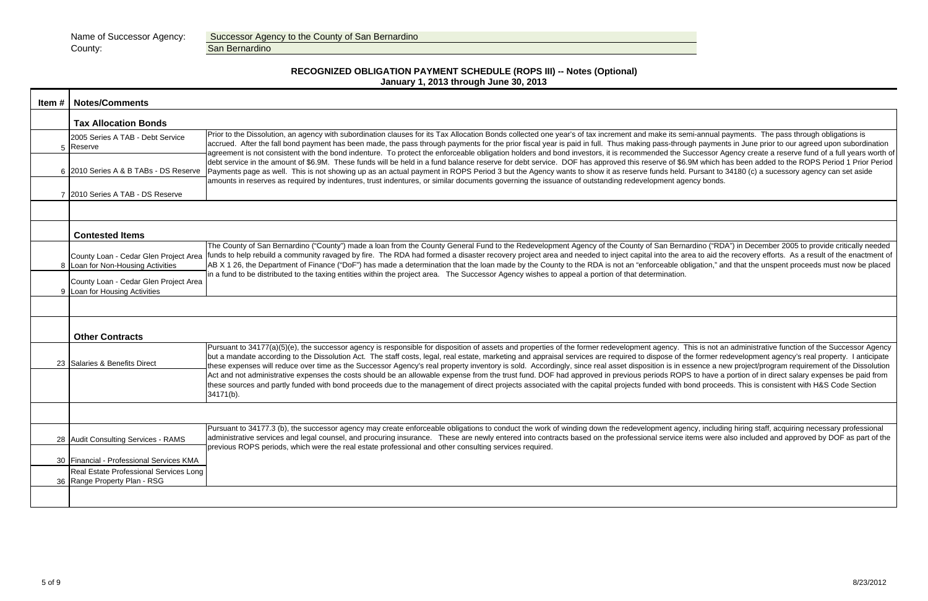| Item $#$ | Notes/Comments                                                                                                                                                                                                               |                                                                                                                                                                                                                                                                                                                                                                                                                                                                                                                                                                                                                                                       |  |  |  |  |  |  |  |  |
|----------|------------------------------------------------------------------------------------------------------------------------------------------------------------------------------------------------------------------------------|-------------------------------------------------------------------------------------------------------------------------------------------------------------------------------------------------------------------------------------------------------------------------------------------------------------------------------------------------------------------------------------------------------------------------------------------------------------------------------------------------------------------------------------------------------------------------------------------------------------------------------------------------------|--|--|--|--|--|--|--|--|
|          | <b>Tax Allocation Bonds</b>                                                                                                                                                                                                  |                                                                                                                                                                                                                                                                                                                                                                                                                                                                                                                                                                                                                                                       |  |  |  |  |  |  |  |  |
|          | 2005 Series A TAB - Debt Service<br>5 Reserve                                                                                                                                                                                | Prior to the Dissolution, an agency with subordination clauses for its Tax Allocation Bonds collected one year's of tax increment and make its semi-annual p<br>accrued. After the fall bond payment has been made, the pass through payments for the prior fiscal year is paid in full. Thus making pass-through paymer<br>agreement is not consistent with the bond indenture. To protect the enforceable obligation holders and bond investors, it is recommended the Successor A                                                                                                                                                                  |  |  |  |  |  |  |  |  |
|          | 6 2010 Series A & B TABs - DS Reserve                                                                                                                                                                                        | debt service in the amount of \$6.9M. These funds will be held in a fund balance reserve for debt service. DOF has approved this reserve of \$6.9M which h<br>Payments page as well. This is not showing up as an actual payment in ROPS Period 3 but the Agency wants to show it as reserve funds held. Pursant to<br>amounts in reserves as required by indentures, trust indentures, or similar documents governing the issuance of outstanding redevelopment agency bonds                                                                                                                                                                         |  |  |  |  |  |  |  |  |
|          | 7 2010 Series A TAB - DS Reserve                                                                                                                                                                                             |                                                                                                                                                                                                                                                                                                                                                                                                                                                                                                                                                                                                                                                       |  |  |  |  |  |  |  |  |
|          | <b>Contested Items</b>                                                                                                                                                                                                       |                                                                                                                                                                                                                                                                                                                                                                                                                                                                                                                                                                                                                                                       |  |  |  |  |  |  |  |  |
|          | County Loan - Cedar Glen Project Area<br>8 Loan for Non-Housing Activities                                                                                                                                                   | The County of San Bernardino ("County") made a loan from the County General Fund to the Redevelopment Agency of the County of San Bernardino ("RD<br>funds to help rebuild a community ravaged by fire. The RDA had formed a disaster recovery project area and needed to inject capital into the area to aid th<br>AB X 1 26, the Department of Finance ("DoF") has made a determination that the loan made by the County to the RDA is not an "enforceable obligation," a                                                                                                                                                                           |  |  |  |  |  |  |  |  |
|          | in a fund to be distributed to the taxing entities within the project area. The Successor Agency wishes to appeal a portion of that determination.<br>County Loan - Cedar Glen Project Area<br>9 Loan for Housing Activities |                                                                                                                                                                                                                                                                                                                                                                                                                                                                                                                                                                                                                                                       |  |  |  |  |  |  |  |  |
|          |                                                                                                                                                                                                                              |                                                                                                                                                                                                                                                                                                                                                                                                                                                                                                                                                                                                                                                       |  |  |  |  |  |  |  |  |
|          | <b>Other Contracts</b>                                                                                                                                                                                                       |                                                                                                                                                                                                                                                                                                                                                                                                                                                                                                                                                                                                                                                       |  |  |  |  |  |  |  |  |
|          | 23 Salaries & Benefits Direct                                                                                                                                                                                                | Pursuant to 34177(a)(5)(e), the successor agency is responsible for disposition of assets and properties of the former redevelopment agency. This is not a<br>but a mandate according to the Dissolution Act. The staff costs, legal, real estate, marketing and appraisal services are required to dispose of the former re<br>these expenses will reduce over time as the Successor Agency's real property inventory is sold. Accordingly, since real asset disposition is in essence a ne<br>Act and not administrative expenses the costs should be an allowable expense from the trust fund. DOF had approved in previous periods ROPS to have a |  |  |  |  |  |  |  |  |
|          |                                                                                                                                                                                                                              | these sources and partly funded with bond proceeds due to the management of direct projects associated with the capital projects funded with bond procee<br>34171(b).                                                                                                                                                                                                                                                                                                                                                                                                                                                                                 |  |  |  |  |  |  |  |  |
|          | 28 Audit Consulting Services - RAMS                                                                                                                                                                                          | Pursuant to 34177.3 (b), the successor agency may create enforceable obligations to conduct the work of winding down the redevelopment agency, includi<br>administrative services and legal counsel, and procuring insurance. These are newly entered into contracts based on the professional service items were<br>previous ROPS periods, which were the real estate professional and other consulting services required.                                                                                                                                                                                                                           |  |  |  |  |  |  |  |  |
|          | 30 Financial - Professional Services KMA<br>Real Estate Professional Services Long                                                                                                                                           |                                                                                                                                                                                                                                                                                                                                                                                                                                                                                                                                                                                                                                                       |  |  |  |  |  |  |  |  |
|          | 36 Range Property Plan - RSG                                                                                                                                                                                                 |                                                                                                                                                                                                                                                                                                                                                                                                                                                                                                                                                                                                                                                       |  |  |  |  |  |  |  |  |
|          |                                                                                                                                                                                                                              |                                                                                                                                                                                                                                                                                                                                                                                                                                                                                                                                                                                                                                                       |  |  |  |  |  |  |  |  |

# **RECOGNIZED OBLIGATION PAYMENT SCHEDULE (ROPS III) -- Notes (Optional) January 1, 2013 through June 30, 2013**

|  | _____ |  |
|--|-------|--|

semi-annual payments. The pass through obligations is ough payments in June prior to our agreed upon subordination Buccessor Agency create a reserve fund of a full years worth of 6.9M which has been added to the ROPS Period 1 Prior Period d. Pursant to 34180 (c) a sucessory agency can set aside

rnardino ("RDA") in December 2005 to provide critically needed area to aid the recovery efforts. As a result of the enactment of obligation," and that the unspent proceeds must now be placed

This is not an administrative function of the Successor Agency f the former redevelopment agency's real property. I anticipate essence a new project/program requirement of the Dissolution PS to have a portion of in direct salary expenses be paid from bond proceeds. This is consistent with H&S Code Section

ency, including hiring staff, acquiring necessary professional items were also included and approved by DOF as part of the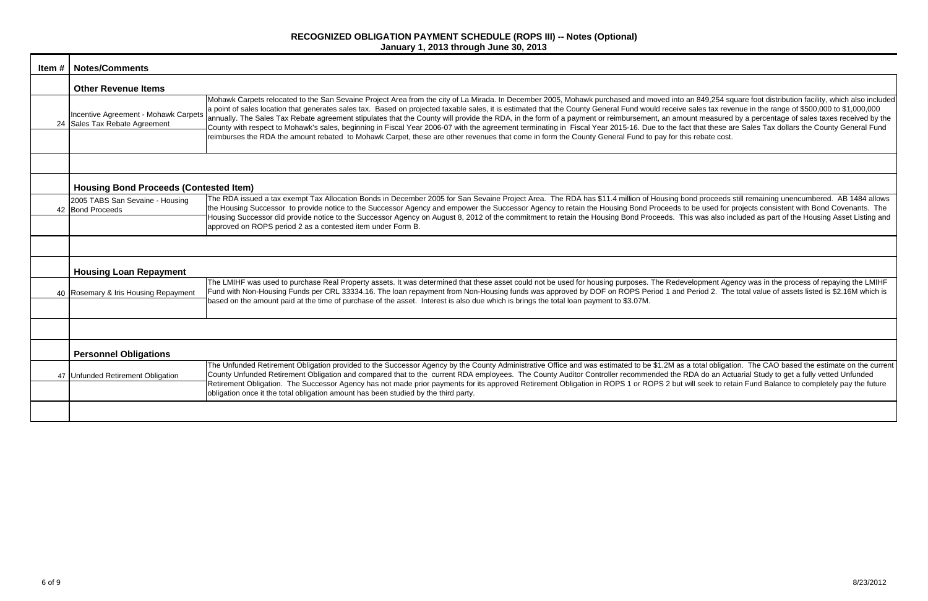| Item # | <b>Notes/Comments</b>                                                 |                                                                                                                                                                                                                                                                                                                                                                                                                                                                                                                                                                                                                                                                                                                                                                                                            |
|--------|-----------------------------------------------------------------------|------------------------------------------------------------------------------------------------------------------------------------------------------------------------------------------------------------------------------------------------------------------------------------------------------------------------------------------------------------------------------------------------------------------------------------------------------------------------------------------------------------------------------------------------------------------------------------------------------------------------------------------------------------------------------------------------------------------------------------------------------------------------------------------------------------|
|        | <b>Other Revenue Items</b>                                            |                                                                                                                                                                                                                                                                                                                                                                                                                                                                                                                                                                                                                                                                                                                                                                                                            |
|        | Incentive Agreement - Mohawk Carpets<br>24 Sales Tax Rebate Agreement | Mohawk Carpets relocated to the San Sevaine Project Area from the city of La Mirada. In December 2005, Mohawk purchased and moved into an 849,254 so<br>a point of sales location that generates sales tax. Based on projected taxable sales, it is estimated that the County General Fund would receive sales tax rev<br>annually. The Sales Tax Rebate agreement stipulates that the County will provide the RDA, in the form of a payment or reimbursement, an amount measured<br>County with respect to Mohawk's sales, beginning in Fiscal Year 2006-07 with the agreement terminating in Fiscal Year 2015-16. Due to the fact that these a<br>reimburses the RDA the amount rebated to Mohawk Carpet, these are other revenues that come in form the County General Fund to pay for this rebate cost |
|        |                                                                       |                                                                                                                                                                                                                                                                                                                                                                                                                                                                                                                                                                                                                                                                                                                                                                                                            |
|        | <b>Housing Bond Proceeds (Contested Item)</b>                         |                                                                                                                                                                                                                                                                                                                                                                                                                                                                                                                                                                                                                                                                                                                                                                                                            |
|        | 2005 TABS San Sevaine - Housing<br>42 Bond Proceeds                   | The RDA issued a tax exempt Tax Allocation Bonds in December 2005 for San Sevaine Project Area. The RDA has \$11.4 million of Housing bond proceeds<br>the Housing Successor to provide notice to the Successor Agency and empower the Successor Agency to retain the Housing Bond Proceeds to be used for<br>Housing Successor did provide notice to the Successor Agency on August 8, 2012 of the commitment to retain the Housing Bond Proceeds. This was also in<br>approved on ROPS period 2 as a contested item under Form B.                                                                                                                                                                                                                                                                        |
|        | <b>Housing Loan Repayment</b>                                         |                                                                                                                                                                                                                                                                                                                                                                                                                                                                                                                                                                                                                                                                                                                                                                                                            |
|        | 40 Rosemary & Iris Housing Repayment                                  | The LMIHF was used to purchase Real Property assets. It was determined that these asset could not be used for housing purposes. The Redevelopment Age<br>Fund with Non-Housing Funds per CRL 33334.16. The loan repayment from Non-Housing funds was approved by DOF on ROPS Period 1 and Period 2. The<br>based on the amount paid at the time of purchase of the asset. Interest is also due which is brings the total loan payment to \$3.07M.                                                                                                                                                                                                                                                                                                                                                          |
|        |                                                                       |                                                                                                                                                                                                                                                                                                                                                                                                                                                                                                                                                                                                                                                                                                                                                                                                            |
|        | <b>Personnel Obligations</b>                                          |                                                                                                                                                                                                                                                                                                                                                                                                                                                                                                                                                                                                                                                                                                                                                                                                            |
|        | 47 Unfunded Retirement Obligation                                     | The Unfunded Retirement Obligation provided to the Successor Agency by the County Administrative Office and was estimated to be \$1.2M as a total obligat<br>County Unfunded Retirement Obligation and compared that to the current RDA employees. The County Auditor Controller recommended the RDA do an Ac<br>Retirement Obligation. The Successor Agency has not made prior payments for its approved Retirement Obligation in ROPS 1 or ROPS 2 but will seek to ret<br>obligation once it the total obligation amount has been studied by the third party.                                                                                                                                                                                                                                            |
|        |                                                                       |                                                                                                                                                                                                                                                                                                                                                                                                                                                                                                                                                                                                                                                                                                                                                                                                            |

 $\alpha$  an 849,254 square foot distribution facility, which also included e sales tax revenue in the range of \$500,000 to \$1,000,000 nount measured by a percentage of sales taxes received by the act that these are Sales Tax dollars the County General Fund

bond proceeds still remaining unencumbered. AB 1484 allows to be used for projects consistent with Bond Covenants. The Fhis was also included as part of the Housing Asset Listing and

evelopment Agency was in the process of repaying the LMIHF d Period 2. The total value of assets listed is \$2.16M which is

s a total obligation. The CAO based the estimate on the current RDA do an Actuarial Study to get a fully vetted Unfunded will seek to retain Fund Balance to completely pay the future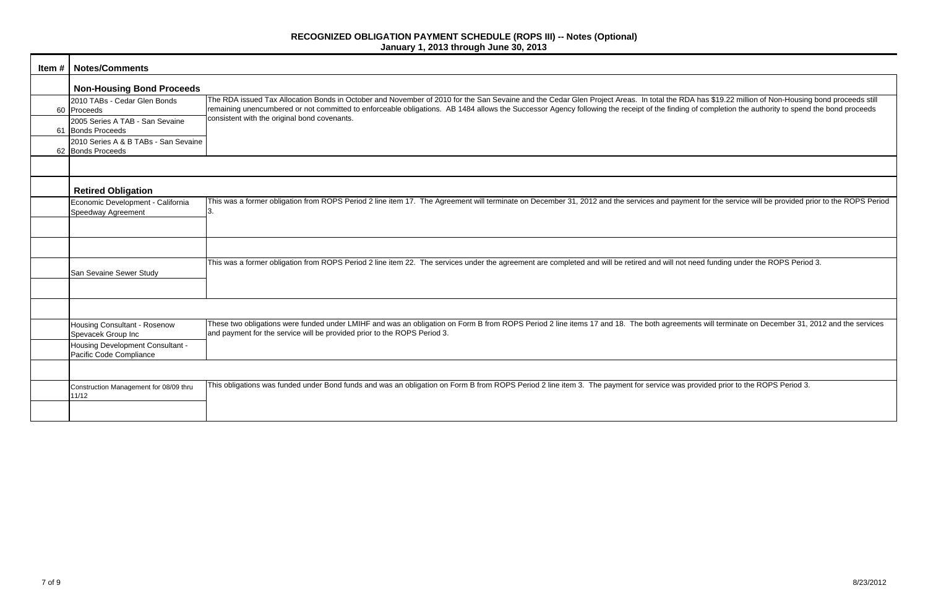| <b>Item #   Notes/Comments</b>                              |                                                                                                                                                                                                                                                                                                                                                                                                          |
|-------------------------------------------------------------|----------------------------------------------------------------------------------------------------------------------------------------------------------------------------------------------------------------------------------------------------------------------------------------------------------------------------------------------------------------------------------------------------------|
| <b>Non-Housing Bond Proceeds</b>                            |                                                                                                                                                                                                                                                                                                                                                                                                          |
| 2010 TABs - Cedar Glen Bonds<br>60 Proceeds                 | The RDA issued Tax Allocation Bonds in October and November of 2010 for the San Sevaine and the Cedar Glen Project Areas. In total the RDA has \$19.22 million of Non-Housing bond proceeds still<br>remaining unencumbered or not committed to enforceable obligations. AB 1484 allows the Successor Agency following the receipt of the finding of completion the authority to spend the bond proceeds |
| 2005 Series A TAB - San Sevaine<br>61 Bonds Proceeds        | consistent with the original bond covenants.                                                                                                                                                                                                                                                                                                                                                             |
| 2010 Series A & B TABs - San Sevaine<br>62 Bonds Proceeds   |                                                                                                                                                                                                                                                                                                                                                                                                          |
|                                                             |                                                                                                                                                                                                                                                                                                                                                                                                          |
| <b>Retired Obligation</b>                                   |                                                                                                                                                                                                                                                                                                                                                                                                          |
| Economic Development - California<br>Speedway Agreement     | This was a former obligation from ROPS Period 2 line item 17. The Agreement will terminate on December 31, 2012 and the services and payment for the service will be provided prior to the ROPS Per                                                                                                                                                                                                      |
|                                                             |                                                                                                                                                                                                                                                                                                                                                                                                          |
|                                                             |                                                                                                                                                                                                                                                                                                                                                                                                          |
| San Sevaine Sewer Study                                     | This was a former obligation from ROPS Period 2 line item 22. The services under the agreement are completed and will be retired and will not need funding under the ROPS Period 3.                                                                                                                                                                                                                      |
|                                                             |                                                                                                                                                                                                                                                                                                                                                                                                          |
|                                                             |                                                                                                                                                                                                                                                                                                                                                                                                          |
| <b>Housing Consultant - Rosenow</b><br>Spevacek Group Inc   | These two obligations were funded under LMIHF and was an obligation on Form B from ROPS Period 2 line items 17 and 18. The both agreements will terminate on December 31, 2012 and the service<br>and payment for the service will be provided prior to the ROPS Period 3.                                                                                                                               |
| Housing Development Consultant -<br>Pacific Code Compliance |                                                                                                                                                                                                                                                                                                                                                                                                          |
|                                                             |                                                                                                                                                                                                                                                                                                                                                                                                          |
| Construction Management for 08/09 thru<br>11/12             | This obligations was funded under Bond funds and was an obligation on Form B from ROPS Period 2 line item 3. The payment for service was provided prior to the ROPS Period 3.                                                                                                                                                                                                                            |
|                                                             |                                                                                                                                                                                                                                                                                                                                                                                                          |

yment for the service will be provided prior to the ROPS Period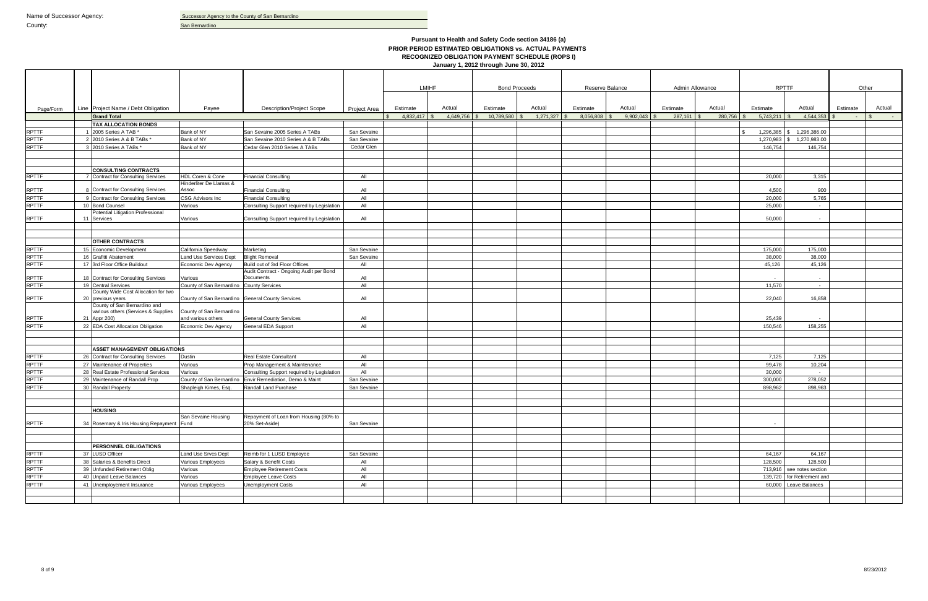|                              |                                                            |                                             |                                                  |              | <b>LMIHF</b>   |           |               |                      |              |                 |          |                 |                |                               |          |            |
|------------------------------|------------------------------------------------------------|---------------------------------------------|--------------------------------------------------|--------------|----------------|-----------|---------------|----------------------|--------------|-----------------|----------|-----------------|----------------|-------------------------------|----------|------------|
|                              |                                                            |                                             |                                                  |              |                |           |               | <b>Bond Proceeds</b> |              | Reserve Balance |          | Admin Allowance | <b>RPTTF</b>   |                               |          | Other      |
|                              |                                                            |                                             |                                                  |              |                |           |               |                      |              |                 |          |                 |                |                               |          |            |
| Page/Form                    | Line Project Name / Debt Obligation                        | Payee                                       | <b>Description/Project Scope</b>                 | Project Area | Estimate       | Actual    | Estimate      | Actual               | Estimate     | Actual          | Estimate | Actual          | Estimate       | Actual                        | Estimate | Actual     |
|                              | <b>Grand Total</b>                                         |                                             |                                                  |              | $4,832,417$ \$ | 4,649,756 | 10,789,580 \$ | 1,271,327            | 8,056,808 \$ | $9,902,043$ \$  | 287,161  | 280,756         | $5,743,211$ \$ | 4,544,353                     | $\sim$   | $\sim 100$ |
|                              | <b>TAX ALLOCATION BONDS</b>                                |                                             |                                                  |              |                |           |               |                      |              |                 |          |                 |                |                               |          |            |
| <b>RPTTF</b>                 | 1 2005 Series A TAB *                                      | Bank of NY                                  | San Sevaine 2005 Series A TABs                   | San Sevaine  |                |           |               |                      |              |                 |          |                 |                | 1,296,385 \$ 1,296,386.00     |          |            |
| <b>RPTTF</b>                 | 2 2010 Series A & B TABs *                                 | Bank of NY                                  | San Sevaine 2010 Series A & B TABs               | San Sevaine  |                |           |               |                      |              |                 |          |                 |                | $1,270,983$ \ \$ 1,270,983.00 |          |            |
| <b>RPTTF</b>                 | 3 2010 Series A TABs *                                     | Bank of NY                                  | Cedar Glen 2010 Series A TABs                    | Cedar Glen   |                |           |               |                      |              |                 |          |                 | 146,754        | 146,754                       |          |            |
|                              |                                                            |                                             |                                                  |              |                |           |               |                      |              |                 |          |                 |                |                               |          |            |
|                              |                                                            |                                             |                                                  |              |                |           |               |                      |              |                 |          |                 |                |                               |          |            |
|                              | <b>CONSULTING CONTRACTS</b>                                |                                             |                                                  |              |                |           |               |                      |              |                 |          |                 |                |                               |          |            |
| <b>RPTTF</b>                 | 7 Contract for Consulting Services                         | HDL Coren & Cone<br>Hinderliter De Llamas & | <b>Financial Consulting</b>                      | All          |                |           |               |                      |              |                 |          |                 | 20,000         | 3,315                         |          |            |
| <b>RPTTF</b>                 | <b>Contract for Consulting Services</b>                    | Assoc                                       | <b>Financial Consulting</b>                      | All          |                |           |               |                      |              |                 |          |                 | 4,500          | 900                           |          |            |
| <b>RPTTF</b>                 | 9 Contract for Consulting Services                         | CSG Advisors Inc                            | <b>Financial Consulting</b>                      | All          |                |           |               |                      |              |                 |          |                 | 20,000         | 5,765                         |          |            |
| <b>RPTTF</b>                 | 10 Bond Counsel                                            | Various                                     | Consulting Support required by Legislation       | All          |                |           |               |                      |              |                 |          |                 | 25,000         | $\sim$                        |          |            |
|                              | Potential Litigation Professional                          |                                             |                                                  |              |                |           |               |                      |              |                 |          |                 |                |                               |          |            |
| <b>RPTTF</b>                 | 11 Services                                                | Various                                     | Consulting Support required by Legislation       | All          |                |           |               |                      |              |                 |          |                 | 50,000         | $\sim$                        |          |            |
|                              |                                                            |                                             |                                                  |              |                |           |               |                      |              |                 |          |                 |                |                               |          |            |
|                              |                                                            |                                             |                                                  |              |                |           |               |                      |              |                 |          |                 |                |                               |          |            |
|                              | <b>OTHER CONTRACTS</b>                                     |                                             |                                                  |              |                |           |               |                      |              |                 |          |                 |                |                               |          |            |
| <b>RPTTF</b>                 | 15 Economic Development                                    | California Speedway                         | Marketing                                        | San Sevaine  |                |           |               |                      |              |                 |          |                 | 175,000        | 175,000                       |          |            |
| <b>RPTTF</b>                 | 16 Grafitti Abatement                                      | Land Use Services Dept                      | <b>Blight Removal</b>                            | San Sevaine  |                |           |               |                      |              |                 |          |                 | 38,000         | 38,000                        |          |            |
| <b>RPTTF</b>                 | 17 3rd Floor Office Buildout                               | Economic Dev Agency                         | Build out of 3rd Floor Offices                   | All          |                |           |               |                      |              |                 |          |                 | 45,126         | 45,126                        |          |            |
|                              |                                                            |                                             | Audit Contract - Ongoing Audit per Bond          |              |                |           |               |                      |              |                 |          |                 |                |                               |          |            |
| <b>RPTTF</b><br><b>RPTTF</b> | 18 Contract for Consulting Services                        | Various<br>County of San Bernardino         | Documents                                        | All          |                |           |               |                      |              |                 |          |                 |                |                               |          |            |
|                              | 19 Central Services<br>County Wide Cost Allocation for two |                                             | <b>County Services</b>                           | All          |                |           |               |                      |              |                 |          |                 | 11,570         | $\sim$                        |          |            |
| <b>RPTTF</b>                 | 20 previous years                                          |                                             | County of San Bernardino General County Services | All          |                |           |               |                      |              |                 |          |                 | 22,040         | 16,858                        |          |            |
|                              | County of San Bernardino and                               |                                             |                                                  |              |                |           |               |                      |              |                 |          |                 |                |                               |          |            |
|                              | various others (Services & Supplies                        | County of San Bernardino                    |                                                  |              |                |           |               |                      |              |                 |          |                 |                |                               |          |            |
| <b>RPTTF</b>                 | 21 Appr 200)                                               | and various others                          | <b>General County Services</b>                   | All          |                |           |               |                      |              |                 |          |                 | 25,439         |                               |          |            |
| <b>RPTTF</b>                 | 22 EDA Cost Allocation Obligation                          | Economic Dev Agency                         | <b>General EDA Support</b>                       | All          |                |           |               |                      |              |                 |          |                 | 150,546        | 158,255                       |          |            |
|                              |                                                            |                                             |                                                  |              |                |           |               |                      |              |                 |          |                 |                |                               |          |            |
|                              |                                                            |                                             |                                                  |              |                |           |               |                      |              |                 |          |                 |                |                               |          |            |
|                              | <b>ASSET MANAGEMENT OBLIGATIONS</b>                        |                                             |                                                  |              |                |           |               |                      |              |                 |          |                 |                |                               |          |            |
| <b>RPTTF</b>                 | 26 Contract for Consulting Services                        | Dustin                                      | <b>Real Estate Consultant</b>                    | All          |                |           |               |                      |              |                 |          |                 | 7,125          | 7,125                         |          |            |
| <b>RPTTF</b>                 | 27 Maintenance of Properties                               | Various                                     | Prop Management & Maintenance                    | All          |                |           |               |                      |              |                 |          |                 | 99,478         | 10,204                        |          |            |
| <b>RPTTF</b>                 | 28 Real Estate Professional Services                       | Various                                     | Consulting Support required by Legislation       | All          |                |           |               |                      |              |                 |          |                 | 30,000         | $\sim$                        |          |            |
| <b>RPTTF</b><br><b>RPTTF</b> | 29 Maintenance of Randall Prop                             | County of San Bernardino                    | Envir Remediation, Demo & Maint                  | San Sevaine  |                |           |               |                      |              |                 |          |                 | 300,000        | 278,052                       |          |            |
|                              | 30 Randall Property                                        | Shapleigh Kimes, Esq.                       | Randall Land Purchase                            | San Sevaine  |                |           |               |                      |              |                 |          |                 | 898,962        | 898.963                       |          |            |
|                              |                                                            |                                             |                                                  |              |                |           |               |                      |              |                 |          |                 |                |                               |          |            |
|                              | <b>HOUSING</b>                                             |                                             |                                                  |              |                |           |               |                      |              |                 |          |                 |                |                               |          |            |
|                              |                                                            | San Sevaine Housing                         | Repayment of Loan from Housing (80% to           |              |                |           |               |                      |              |                 |          |                 |                |                               |          |            |
| <b>RPTTF</b>                 | 34 Rosemary & Iris Housing Repayment Fund                  |                                             | 20% Set-Aside)                                   | San Sevaine  |                |           |               |                      |              |                 |          |                 |                |                               |          |            |
|                              |                                                            |                                             |                                                  |              |                |           |               |                      |              |                 |          |                 |                |                               |          |            |
|                              |                                                            |                                             |                                                  |              |                |           |               |                      |              |                 |          |                 |                |                               |          |            |
|                              | <b>PERSONNEL OBLIGATIONS</b>                               |                                             |                                                  |              |                |           |               |                      |              |                 |          |                 |                |                               |          |            |
| <b>RPTTF</b>                 | 37 LUSD Officer                                            | Land Use Srvcs Dept                         | Reimb for 1 LUSD Employee                        | San Sevaine  |                |           |               |                      |              |                 |          |                 | 64,167         | 64,167                        |          |            |
| RPTTF<br>RPTTF               | 38 Salaries & Benefits Direct                              | Various Employees                           | Salary & Benefit Costs                           | All          |                |           |               |                      |              |                 |          |                 | 128,500        | 128,500                       |          |            |
|                              | 39 Unfunded Retirement Oblig                               | Various                                     | <b>Employee Retirement Costs</b>                 | All          |                |           |               |                      |              |                 |          |                 |                | 713.916 see notes section     |          |            |
| <b>RPTTF</b>                 | 40 Unpaid Leave Balances                                   | Various                                     | Employee Leave Costs                             | All          |                |           |               |                      |              |                 |          |                 |                | 139,720 for Retirement and    |          |            |
| <b>RPTTF</b>                 | 41 Unemployement Insurance                                 | Various Employees                           | <b>Unemployment Costs</b>                        | All          |                |           |               |                      |              |                 |          |                 |                | 60,000 Leave Balances         |          |            |
|                              |                                                            |                                             |                                                  |              |                |           |               |                      |              |                 |          |                 |                |                               |          |            |
|                              |                                                            |                                             |                                                  |              |                |           |               |                      |              |                 |          |                 |                |                               |          |            |
|                              |                                                            |                                             |                                                  |              |                |           |               |                      |              |                 |          |                 |                |                               |          |            |

### **Pursuant to Health and Safety Code section 34186 (a) PRIOR PERIOD ESTIMATED OBLIGATIONS vs. ACTUAL PAYMENTS RECOGNIZED OBLIGATION PAYMENT SCHEDULE (ROPS I)**

**January 1, 2012 through June 30, 2012**